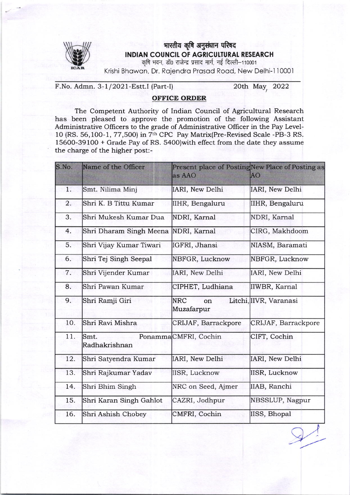

## भारतीय कृषि अनुसंधान परिषद INDIAN COUNCIL OF AGRICULTURAL RESEARCH

कृषि भवन, डॉ0 राजेन्द्र प्रसाद मार्ग, नई दिल्ली–11000 $\cdot$ 

Krishi Bhawan, Dr. Rajendra Prasad Road, New Delhi-110001

F.No. Admn. 3-1/2021-Estt.I (Part-I) 20th May, 2022

## OFFICE ORDER

The Competent Authority of Indian Council of Agricultural Research has been pleased to approve the promotion of the following Assistant Administrative Officers to the grade of Administrative Officer in the Pay Level-10 (RS. 56,100-1, 77,500) in 7<sup>th</sup> CPC Pay Matrix(Pre-Revised Scale -PB-3 RS. 15600-39100 + Grade Pay of RS. s4Oo)with effect from the date they assume the charge of the higher post:-

| S.No.            | Name of the Officer     | Present place of PostingNew Place of Posting as<br>as AAO | AO                     |
|------------------|-------------------------|-----------------------------------------------------------|------------------------|
| 1.               | Smt. Nilima Minj        | IARI, New Delhi                                           | IARI, New Delhi        |
| $\overline{2}$ . | Shri K. B Tittu Kumar   | IIHR, Bengaluru                                           | IIHR, Bengaluru        |
| 3.               | Shri Mukesh Kumar Dua   | NDRI, Karnal                                              | NDRI, Karnal           |
| 4.               | Shri Dharam Singh Meena | NDRI, Karnal                                              | CIRG, Makhdoom         |
| 5.               | Shri Vijay Kumar Tiwari | IGFRI, Jhansi                                             | NIASM, Baramati        |
| 6.               | Shri Tej Singh Seepal   | NBFGR, Lucknow                                            | NBFGR, Lucknow         |
| 7.               | Shri Vijender Kumar     | IARI, New Delhi                                           | IARI, New Delhi        |
| 8.               | Shri Pawan Kumar        | CIPHET, Ludhiana                                          | IIWBR, Karnal          |
| 9.               | Shri Ramji Giri         | <b>NRC</b><br>on<br>Muzafarpur                            | Litchi, IIVR, Varanasi |
| 10.              | Shri Ravi Mishra        | CRIJAF, Barrackpore                                       | CRIJAF, Barrackpore    |
| 11.              | Smt.<br>Radhakrishnan   | PonammaCMFRI, Cochin                                      | CIFT, Cochin           |
| 12.              | Shri Satyendra Kumar    | IARI, New Delhi                                           | IARI, New Delhi        |
| 13.              | Shri Rajkumar Yadav     | IISR, Lucknow                                             | <b>IISR, Lucknow</b>   |
| 14.              | Shri Bhim Singh         | NRC on Seed, Ajmer                                        | IIAB, Ranchi           |
| 15.              | Shri Karan Singh Gahlot | CAZRI, Jodhpur                                            | NBSSLUP, Nagpur        |
| 16.              | Shri Ashish Chobey      | CMFRI, Cochin                                             | IISS, Bhopal           |
|                  |                         |                                                           |                        |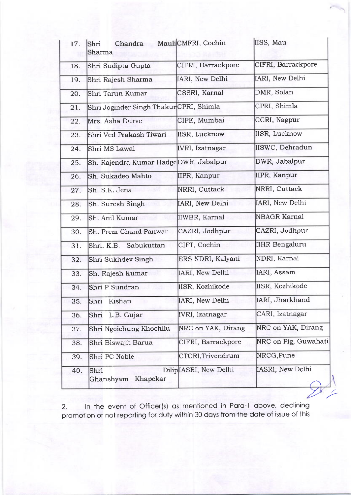| 17. | Chandra<br>Shri<br>Sharma               | MauliCMFRI, Cochin     | IISS, Mau             |
|-----|-----------------------------------------|------------------------|-----------------------|
| 18. | Shri Sudipta Gupta                      | CIFRI, Barrackpore     | CIFRI, Barrackpore    |
| 19. | Shri Rajesh Sharma                      | IARI, New Delhi        | IARI, New Delhi       |
| 20. | Shri Tarun Kumar                        | CSSRI, Karnal          | DMR, Solan            |
| 21. | Shri Joginder Singh Thakur CPRI, Shimla |                        | CPRI, Shimla          |
| 22. | Mrs. Asha Durve                         | CIFE, Mumbai           | CCRI, Nagpur          |
| 23. | Shri Ved Prakash Tiwari                 | IISR, Lucknow          | IISR, Lucknow         |
| 24. | Shri MS Lawal                           | IVRI, Izatnagar        | IISWC, Dehradun       |
| 25. | Sh. Rajendra Kumar HadgeDWR, Jabalpur   |                        | DWR, Jabalpur         |
| 26. | Sh. Sukadeo Mahto                       | IIPR, Kanpur           | IIPR, Kanpur          |
| 27. | Sh. S.K. Jena<br>WSW 1                  | NRRI, Cuttack          | NRRI, Cuttack         |
| 28. | Sh. Suresh Singh                        | IARI, New Delhi        | IARI, New Delhi       |
| 29. | Sh. Anil Kumar                          | IIWBR, Karnal          | <b>NBAGR Karnal</b>   |
| 30. | Sh. Prem Chand Panwar                   | CAZRI, Jodhpur         | CAZRI, Jodhpur        |
| 31. | Shri. K.B. Sabukuttan                   | CIFT, Cochin           | <b>IIHR Bengaluru</b> |
| 32. | Shri Sukhdev Singh                      | ERS NDRI, Kalyani      | NDRI, Karnal          |
| 33. | Sh. Rajesh Kumar                        | IARI, New Delhi        | IARI, Assam           |
| 34. | Shri P Sundran                          | IISR, Kozhikode        | IISR, Kozhikode       |
| 35. | Shri<br>Kishan                          | IARI, New Delhi        | IARI, Jharkhand       |
| 36. | Shri L.B. Gujar                         | <b>IVRI, Izatnagar</b> | CARI, Izatnagar       |
| 37. | Shri Ngoichung Khochilu                 | NRC on YAK, Dirang     | NRC on YAK, Dirang    |
| 38. | Shri Biswajit Barua                     | CIFRI, Barrackpore     | NRC on Pig, Guwahati  |
| 39. | Shri PC Noble                           | CTCRI, Trivendrum      | NRCG, Pune            |
| 40. | Shri<br>Khapekar<br>Ghanshyam           | DiliplASRI, New Delhi  | IASRI, New Delhi      |

2. In the event of Officer(s) as mentioned in Para-1 above, declining promotion or not reporting for duty within 30 days from the date of issue of this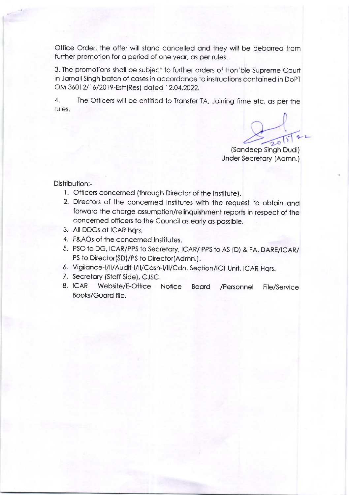Office Order, the offer will stand cancelled and they will be debarred from further promotion for a period of one year, as per rules.

3. The promotions shall be subject to further orders of Hon'ble Supreme Court in Jarnail Singh batch of cases in accordance to instructions contained in DoPT OM 36012/16/2019-Estt(Res) dated 12.04.2022.

 $\overline{4}$ . The Officers will be entitled to Transfer TA, Joining Time etc. as per the rules.

 $\frac{1}{201122}$ 

(Sandeep Singh Dudi) Under Secretary (Admn.)

## Distribution:-

- 1. Officers concerned (through Director of the Institute).
- 2. Directors of the concerned Institutes with the request to obtain and forward the charge assumption/relinguishment reports in respect of the concerned officers to the Council as early as possible.
- 3. All DDGs at ICAR hars.
- 4. F&AOs of the concerned Institutes.
- 5. PSO to DG, ICAR/PPS to Secretary, ICAR/PPS to AS (D) & FA, DARE/ICAR/ PS to Director(SD)/PS to Director(Admn.).
- 6. Vigilance-I/II/Audit-I/II/Cash-I/II/Cdn. Section/ICT Unit, ICAR Hqrs.
- 7. Secretary (Staff Side), CJSC.
- 8. ICAR Website/E-Office Notice Board /Personnel **File/Service** Books/Guard file.